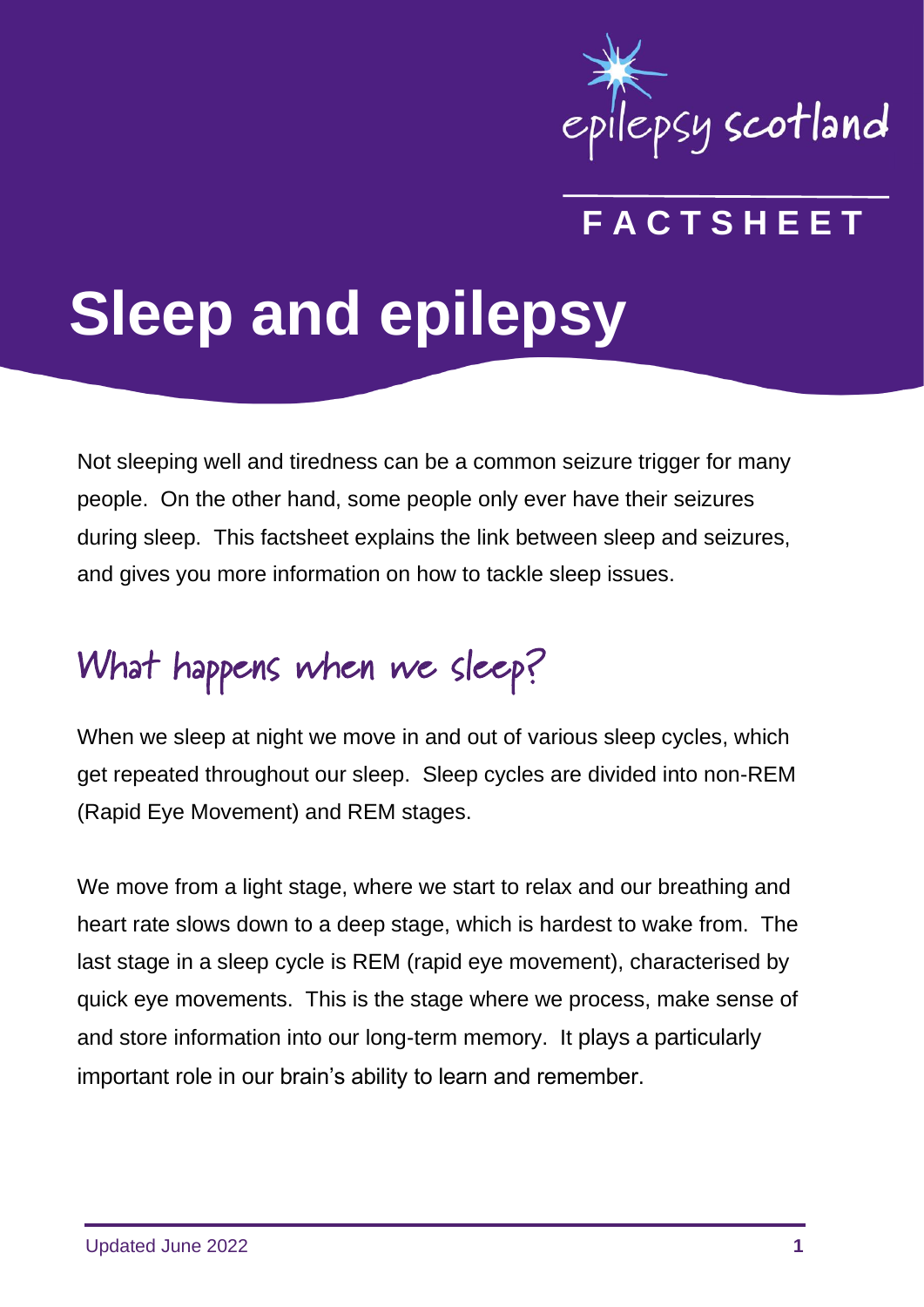

### **F A C T S H E E T**

# **Sleep and epilepsy**

Not sleeping well and tiredness can be a common seizure trigger for many people. On the other hand, some people only ever have their seizures during sleep. This factsheet explains the link between sleep and seizures, and gives you more information on how to tackle sleep issues.

# What happens when we sleep?

When we sleep at night we move in and out of various sleep cycles, which get repeated throughout our sleep. Sleep cycles are divided into non-REM (Rapid Eye Movement) and REM stages.

We move from a light stage, where we start to relax and our breathing and heart rate slows down to a deep stage, which is hardest to wake from. The last stage in a sleep cycle is REM (rapid eye movement), characterised by quick eye movements. This is the stage where we process, make sense of and store information into our long-term memory. It plays a particularly important role in our brain's ability to learn and remember.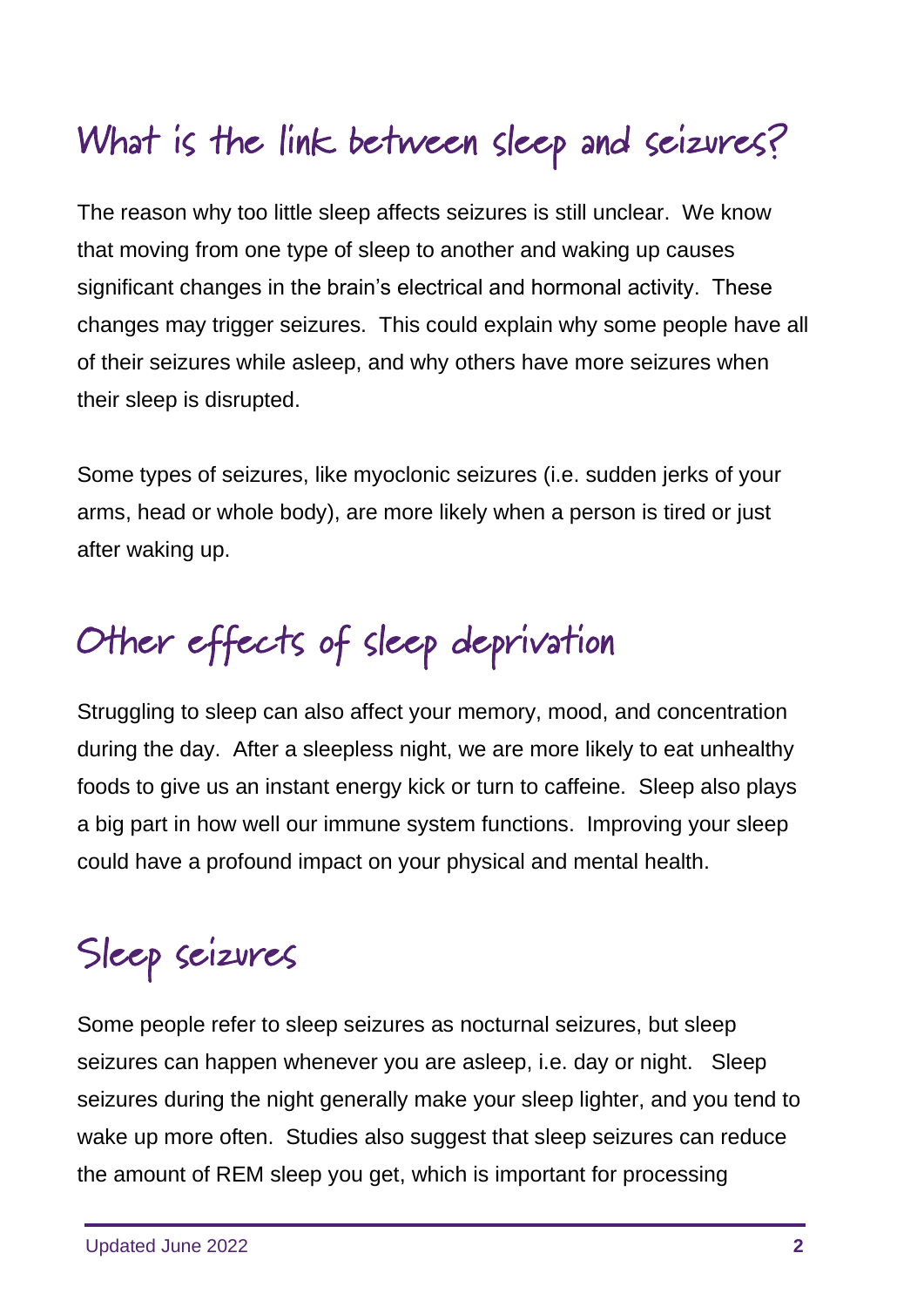# What is the link between sleep and seizures?

The reason why too little sleep affects seizures is still unclear. We know that moving from one type of sleep to another and waking up causes significant changes in the brain's electrical and hormonal activity. These changes may trigger seizures. This could explain why some people have all of their seizures while asleep, and why others have more seizures when their sleep is disrupted.

Some types of seizures, like myoclonic seizures (i.e. sudden jerks of your arms, head or whole body), are more likely when a person is tired or just after waking up.

# Other effects of sleep deprivation

Struggling to sleep can also affect your memory, mood, and concentration during the day. After a sleepless night, we are more likely to eat unhealthy foods to give us an instant energy kick or turn to caffeine. Sleep also plays a big part in how well our immune system functions. Improving your sleep could have a profound impact on your physical and mental health.

# Sleep seizures

Some people refer to sleep seizures as nocturnal seizures, but sleep seizures can happen whenever you are asleep, i.e. day or night. Sleep seizures during the night generally make your sleep lighter, and you tend to wake up more often. Studies also suggest that sleep seizures can reduce the amount of REM sleep you get, which is important for processing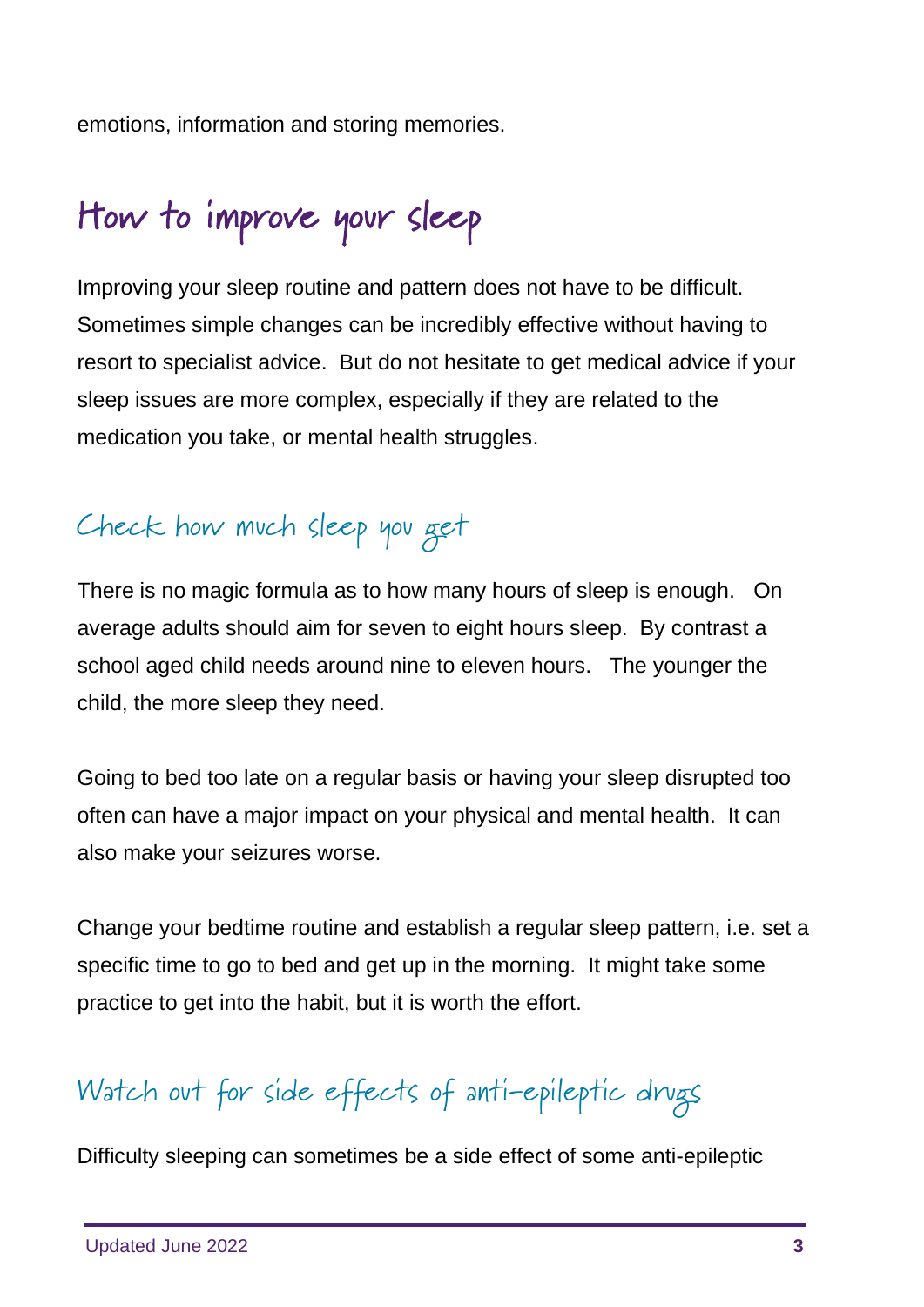emotions, information and storing memories.

# How to improve your sleep

Improving your sleep routine and pattern does not have to be difficult. Sometimes simple changes can be incredibly effective without having to resort to specialist advice. But do not hesitate to get medical advice if your sleep issues are more complex, especially if they are related to the medication you take, or mental health struggles.

#### Check how much sleep you get

There is no magic formula as to how many hours of sleep is enough. On average adults should aim for seven to eight hours sleep. By contrast a school aged child needs around nine to eleven hours. The younger the child, the more sleep they need.

Going to bed too late on a regular basis or having your sleep disrupted too often can have a major impact on your physical and mental health. It can also make your seizures worse.

Change your bedtime routine and establish a regular sleep pattern, i.e. set a specific time to go to bed and get up in the morning. It might take some practice to get into the habit, but it is worth the effort.

#### Watch out for side effects of anti-epileptic drugs

Difficulty sleeping can sometimes be a side effect of some anti-epileptic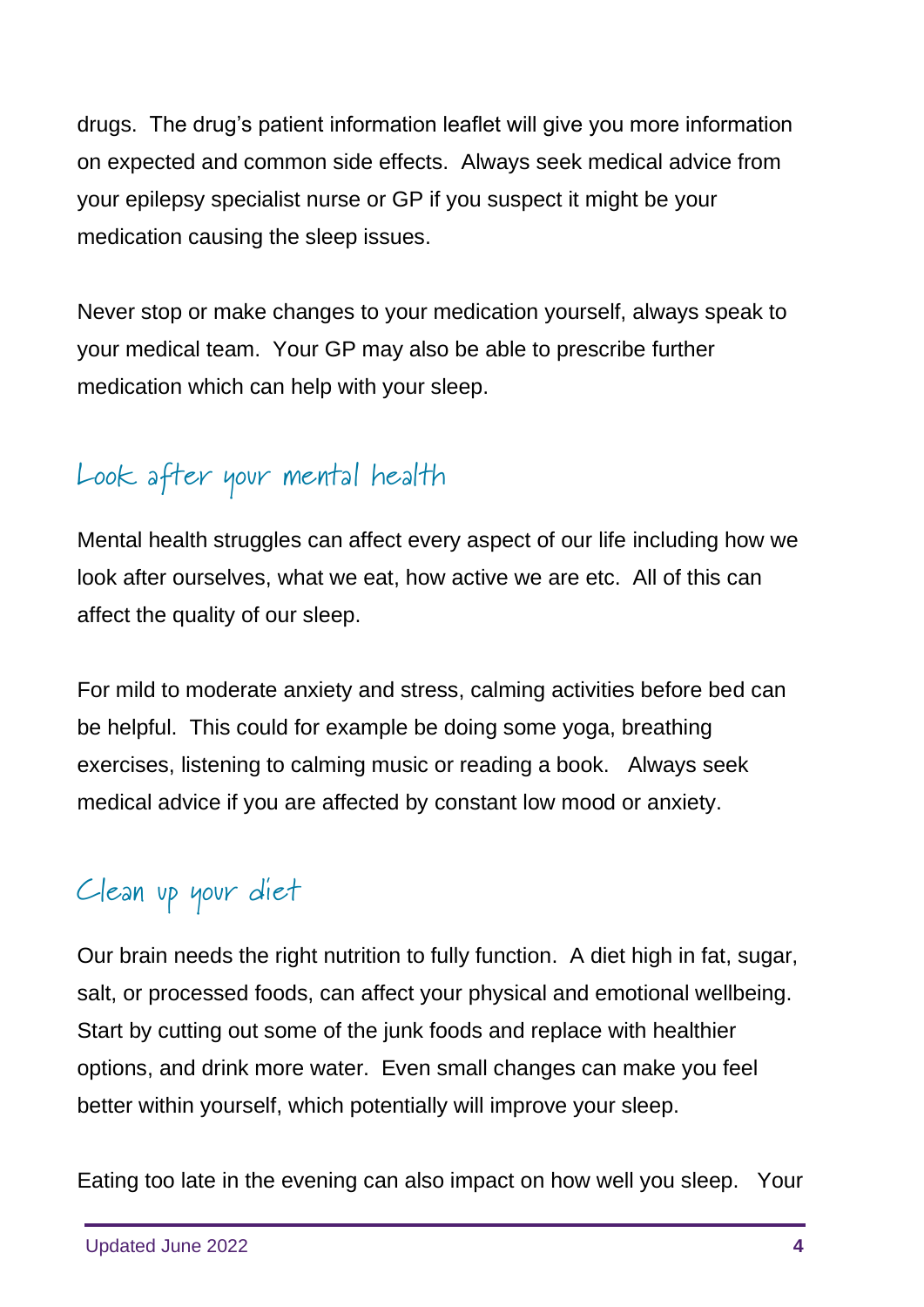drugs. The drug's patient information leaflet will give you more information on expected and common side effects. Always seek medical advice from your epilepsy specialist nurse or GP if you suspect it might be your medication causing the sleep issues.

Never stop or make changes to your medication yourself, always speak to your medical team. Your GP may also be able to prescribe further medication which can help with your sleep.

#### Look after your mental health

Mental health struggles can affect every aspect of our life including how we look after ourselves, what we eat, how active we are etc. All of this can affect the quality of our sleep.

For mild to moderate anxiety and stress, calming activities before bed can be helpful. This could for example be doing some yoga, breathing exercises, listening to calming music or reading a book. Always seek medical advice if you are affected by constant low mood or anxiety.

#### Clean up your diet

Our brain needs the right nutrition to fully function. A diet high in fat, sugar, salt, or processed foods, can affect your physical and emotional wellbeing. Start by cutting out some of the junk foods and replace with healthier options, and drink more water. Even small changes can make you feel better within yourself, which potentially will improve your sleep.

Eating too late in the evening can also impact on how well you sleep. Your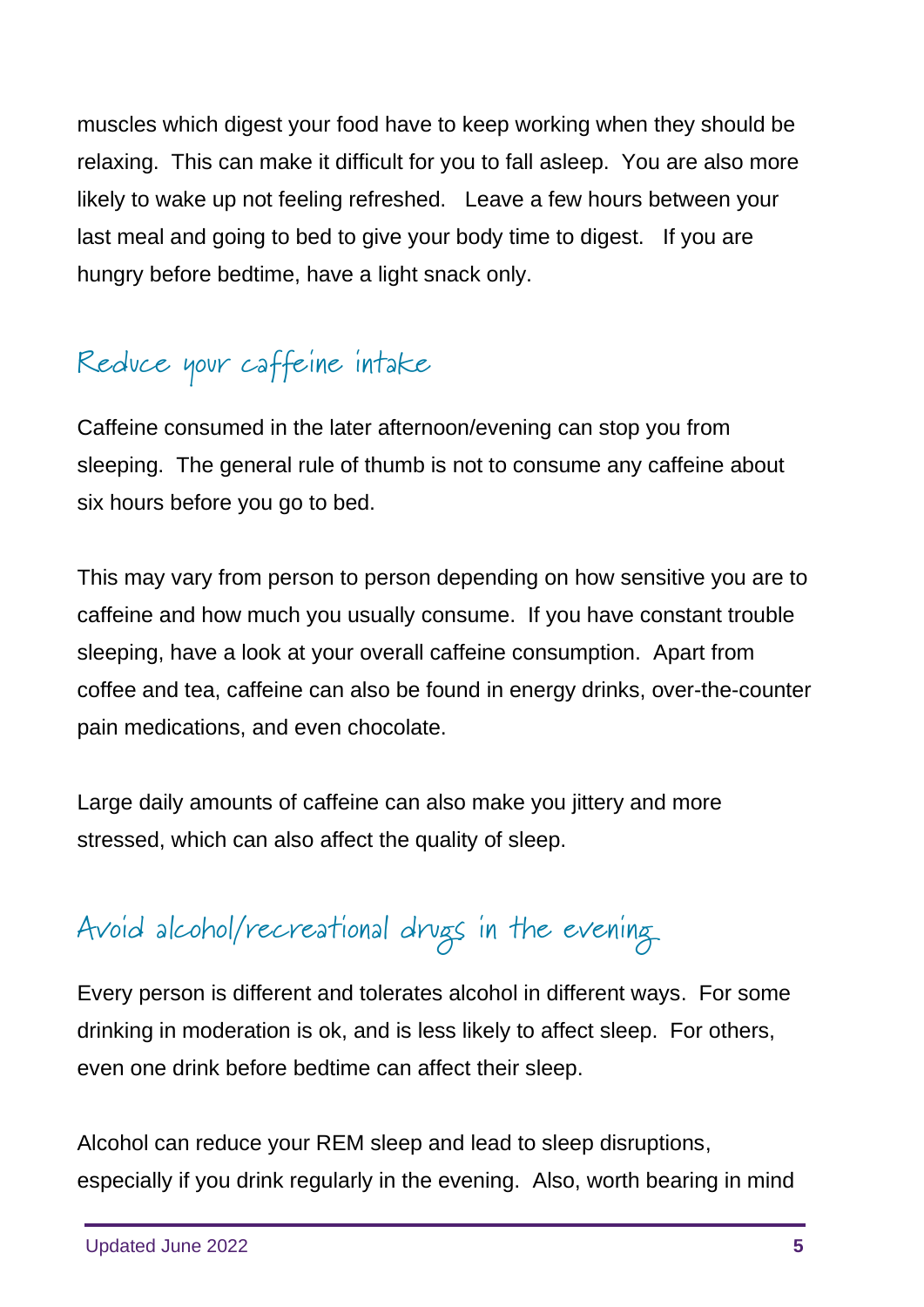muscles which digest your food have to keep working when they should be relaxing. This can make it difficult for you to fall asleep. You are also more likely to wake up not feeling refreshed. Leave a few hours between your last meal and going to bed to give your body time to digest. If you are hungry before bedtime, have a light snack only.

#### Reduce your caffeine intake

Caffeine consumed in the later afternoon/evening can stop you from sleeping. The general rule of thumb is not to consume any caffeine about six hours before you go to bed.

This may vary from person to person depending on how sensitive you are to caffeine and how much you usually consume. If you have constant trouble sleeping, have a look at your overall caffeine consumption. Apart from coffee and tea, caffeine can also be found in energy drinks, over-the-counter pain medications, and even chocolate.

Large daily amounts of caffeine can also make you jittery and more stressed, which can also affect the quality of sleep.

### Avoid alcohol/recreational drugs in the evening

Every person is different and tolerates alcohol in different ways. For some drinking in moderation is ok, and is less likely to affect sleep. For others, even one drink before bedtime can affect their sleep.

Alcohol can reduce your REM sleep and lead to sleep disruptions, especially if you drink regularly in the evening. Also, worth bearing in mind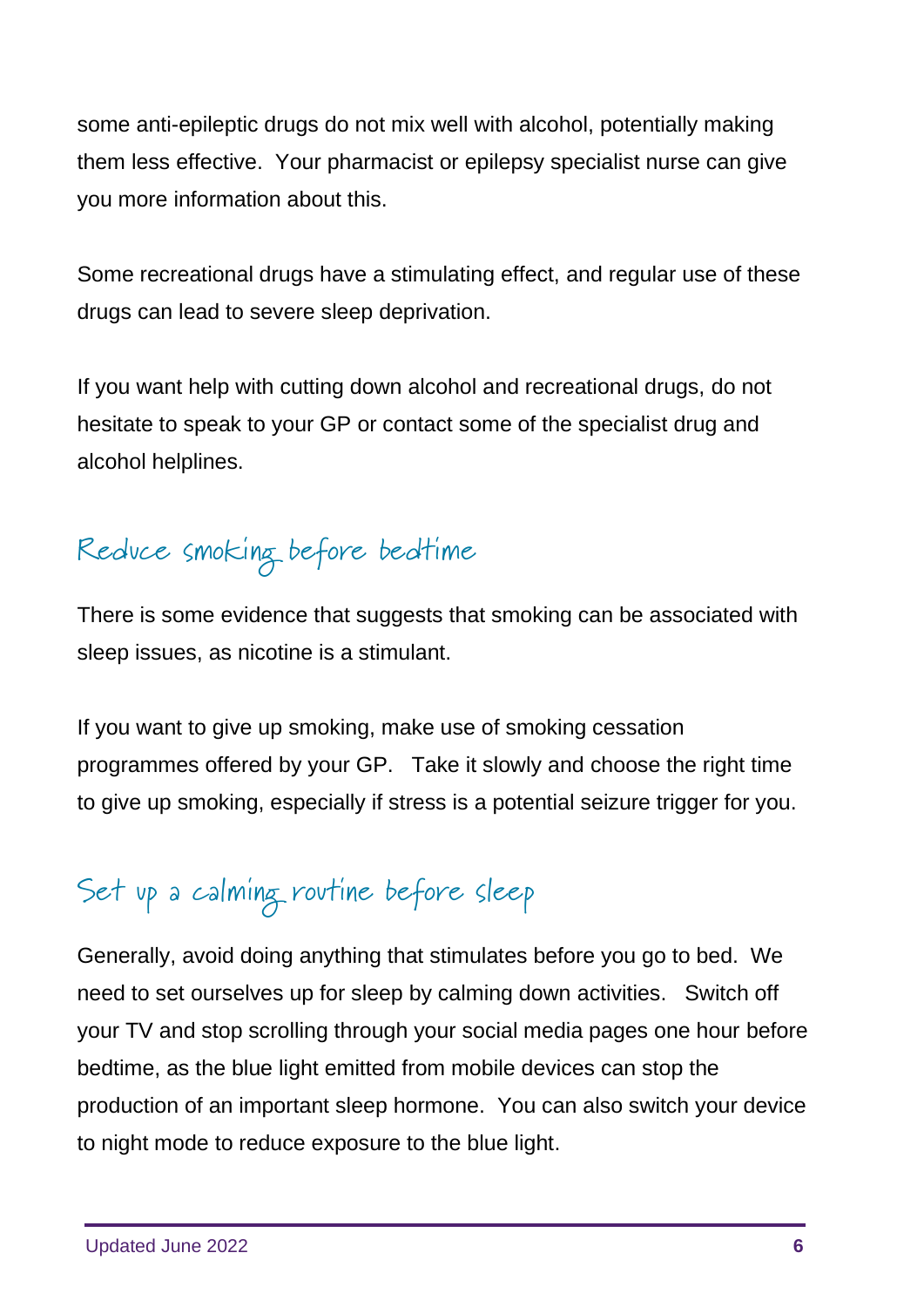some anti-epileptic drugs do not mix well with alcohol, potentially making them less effective. Your pharmacist or epilepsy specialist nurse can give you more information about this.

Some recreational drugs have a stimulating effect, and regular use of these drugs can lead to severe sleep deprivation.

If you want help with cutting down alcohol and recreational drugs, do not hesitate to speak to your GP or contact some of the specialist drug and alcohol helplines.

Reduce smoking before bedtime

There is some evidence that suggests that smoking can be associated with sleep issues, as nicotine is a stimulant.

If you want to give up smoking, make use of smoking cessation programmes offered by your GP. Take it slowly and choose the right time to give up smoking, especially if stress is a potential seizure trigger for you.

#### Set up a calming routine before sleep

Generally, avoid doing anything that stimulates before you go to bed. We need to set ourselves up for sleep by calming down activities. Switch off your TV and stop scrolling through your social media pages one hour before bedtime, as the blue light emitted from mobile devices can stop the production of an important sleep hormone. You can also switch your device to night mode to reduce exposure to the blue light.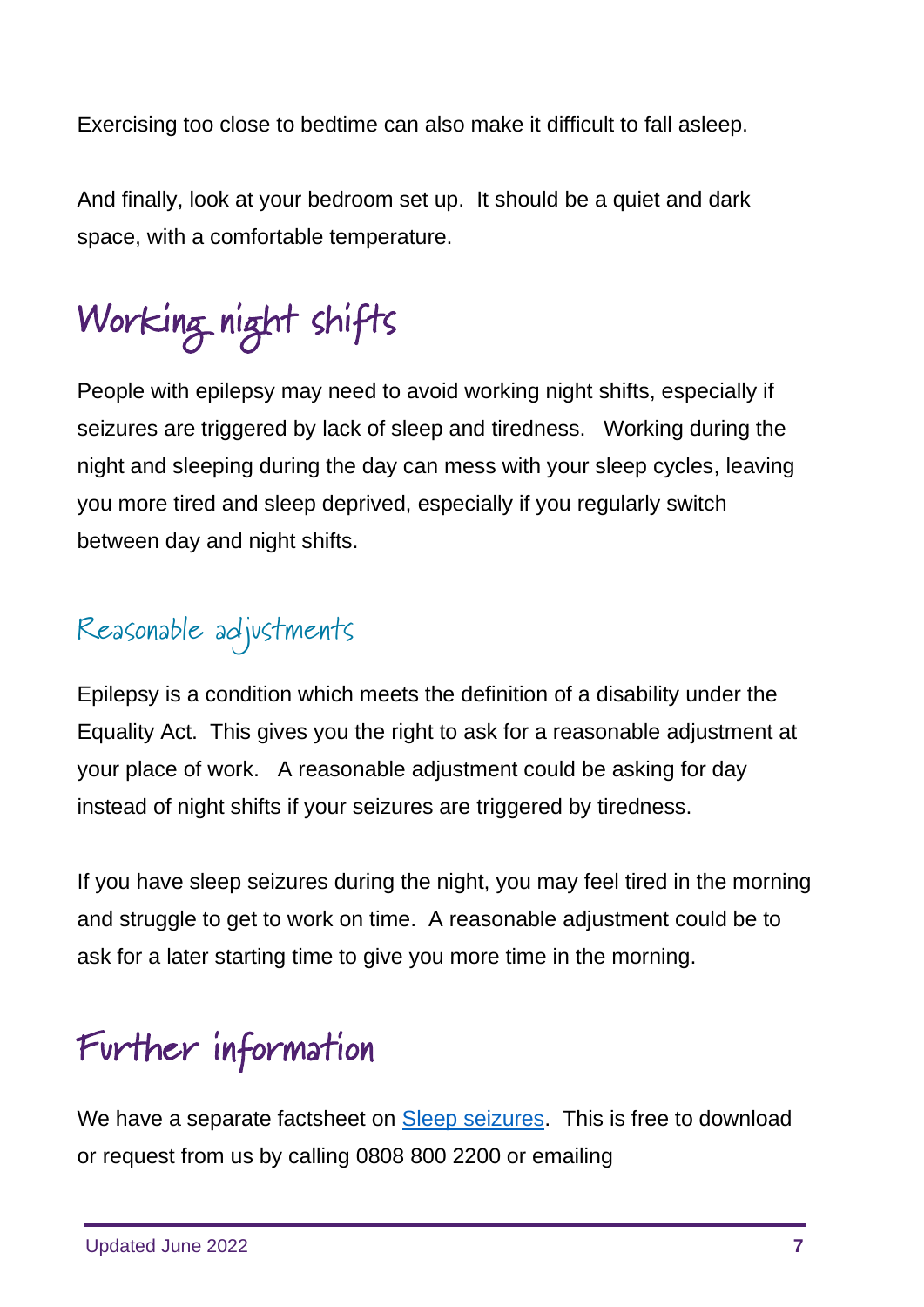Exercising too close to bedtime can also make it difficult to fall asleep.

And finally, look at your bedroom set up. It should be a quiet and dark space, with a comfortable temperature.

# Working night shifts

People with epilepsy may need to avoid working night shifts, especially if seizures are triggered by lack of sleep and tiredness. Working during the night and sleeping during the day can mess with your sleep cycles, leaving you more tired and sleep deprived, especially if you regularly switch between day and night shifts.

#### Reasonable adjustments

Epilepsy is a condition which meets the definition of a disability under the Equality Act. This gives you the right to ask for a reasonable adjustment at your place of work. A reasonable adjustment could be asking for day instead of night shifts if your seizures are triggered by tiredness.

If you have sleep seizures during the night, you may feel tired in the morning and struggle to get to work on time. A reasonable adjustment could be to ask for a later starting time to give you more time in the morning.

# Further information

We have a separate factsheet on [Sleep seizures.](https://www.epilepsyscotland.org.uk/about-epilepsy/our-publications/epilepsy-and-seizures-explained/) This is free to download or request from us by calling 0808 800 2200 or emailing